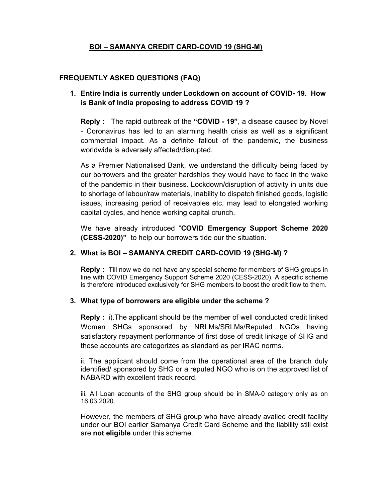# BOI – SAMANYA CREDIT CARD-COVID 19 (SHG-M)

#### FREQUENTLY ASKED QUESTIONS (FAQ)

### 1. Entire India is currently under Lockdown on account of COVID- 19. How is Bank of India proposing to address COVID 19 ?

Reply : The rapid outbreak of the "COVID - 19", a disease caused by Novel - Coronavirus has led to an alarming health crisis as well as a significant commercial impact. As a definite fallout of the pandemic, the business worldwide is adversely affected/disrupted.

As a Premier Nationalised Bank, we understand the difficulty being faced by our borrowers and the greater hardships they would have to face in the wake of the pandemic in their business. Lockdown/disruption of activity in units due to shortage of labour/raw materials, inability to dispatch finished goods, logistic issues, increasing period of receivables etc. may lead to elongated working capital cycles, and hence working capital crunch.

We have already introduced "COVID Emergency Support Scheme 2020 (CESS-2020)" to help our borrowers tide our the situation.

#### 2. What is BOI – SAMANYA CREDIT CARD-COVID 19 (SHG-M) ?

Reply : Till now we do not have any special scheme for members of SHG groups in line with COVID Emergency Support Scheme 2020 (CESS-2020). A specific scheme is therefore introduced exclusively for SHG members to boost the credit flow to them.

#### 3. What type of borrowers are eligible under the scheme ?

Reply : i).The applicant should be the member of well conducted credit linked Women SHGs sponsored by NRLMs/SRLMs/Reputed NGOs having satisfactory repayment performance of first dose of credit linkage of SHG and these accounts are categorizes as standard as per IRAC norms.

ii. The applicant should come from the operational area of the branch duly identified/ sponsored by SHG or a reputed NGO who is on the approved list of NABARD with excellent track record.

iii. All Loan accounts of the SHG group should be in SMA-0 category only as on 16.03.2020.

However, the members of SHG group who have already availed credit facility under our BOI earlier Samanya Credit Card Scheme and the liability still exist are not eligible under this scheme.